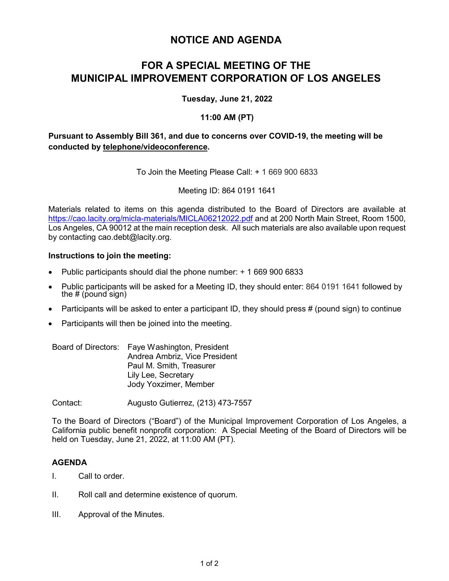# **NOTICE AND AGENDA**

# **FOR A SPECIAL MEETING OF THE MUNICIPAL IMPROVEMENT CORPORATION OF LOS ANGELES**

## **Tuesday, June 21, 2022**

## **11:00 AM (PT)**

# **Pursuant to Assembly Bill 361, and due to concerns over COVID-19, the meeting will be conducted by telephone/videoconference.**

To Join the Meeting Please Call: + 1 669 900 6833

Meeting ID: 864 0191 1641

Materials related to items on this agenda distributed to the Board of Directors are available at <https://cao.lacity.org/micla-materials/MICLA06212022.pdf> and at 200 North Main Street, Room 1500, Los Angeles, CA 90012 at the main reception desk. All such materials are also available upon request by contacting cao.debt@lacity.org.

### **Instructions to join the meeting:**

- Public participants should dial the phone number: + 1 669 900 6833
- Public participants will be asked for a Meeting ID, they should enter: 864 0191 1641 followed by the # (pound sign)
- Participants will be asked to enter a participant ID, they should press  $\#$  (pound sign) to continue
- Participants will then be joined into the meeting.

|  | Board of Directors: Faye Washington, President |
|--|------------------------------------------------|
|  | Andrea Ambriz, Vice President                  |
|  | Paul M. Smith, Treasurer                       |
|  | Lily Lee, Secretary                            |
|  | Jody Yoxzimer, Member                          |

Contact: Augusto Gutierrez, (213) 473-7557

To the Board of Directors ("Board") of the Municipal Improvement Corporation of Los Angeles, a California public benefit nonprofit corporation: A Special Meeting of the Board of Directors will be held on Tuesday, June 21, 2022, at 11:00 AM (PT).

# **AGENDA**

- I. Call to order.
- II. Roll call and determine existence of quorum.
- III. Approval of the Minutes.